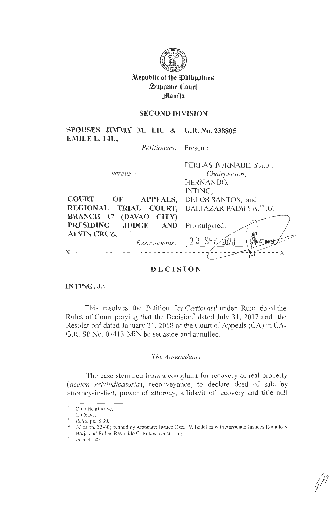

**Republic of the Philippines**  $\mathfrak{w}$ upreme Court **Jlllanila** 

# **SECOND DIVISION**

**SPOUSES JIMMY M. LIU & G.R. No. 238805 EMILE L. LIU,** 

*Petitioners,* Present:

|                                                     | PERLAS-BERNABE, S.A.J.,        |
|-----------------------------------------------------|--------------------------------|
| $- versus -$                                        | Chairperson,                   |
|                                                     | HERNANDO,                      |
|                                                     | INTING,                        |
| <b>COURT</b><br>$\mathbf{O} \mathbf{F}$<br>APPEALS, | DELOS SANTOS, <sup>*</sup> and |
| REGIONAL TRIAL COURT,                               | BALTAZAR-PADILLA,** JJ.        |
| BRANCH 17 (DAVAO CITY)                              |                                |
| PRESIDING JUDGE AND                                 | Promulgated:                   |
| <b>ALVIN CRUZ,</b>                                  |                                |
| Respondents.                                        | -23 SEP                        |
|                                                     |                                |
|                                                     |                                |

# **DECISION**

**INTING, J.:** 

This resolves the Petition for *Certiorari* under Rule 65 of the Rules of Court praying that the Decision<sup>2</sup> dated July 31, 2017 and the Resolution<sup>3</sup> dated January 31, 2018 of the Court of Appeals (CA) in CA-G.R. SP No. 07413-MIN be set aside and annulled.

## *The Antecedents*

The case stemmed from a complaint for recovery of real property *(accion reivindicatoria),* reconveyance, to declare deed of sale by attorney-in-fact, power of attorney, affidavit of recovery and title null

On official leave.

On leave.

<sup>1</sup>*Rollo.* pp. 8-30.

 $1/2$  Id. at pp. 32-40; penned by Associate Justice Oscar V. Badelles with Associate Justices Romulo V. Borja and Ruben Reynaldo G. Roxas, concurring.

*ld.* at 41-43.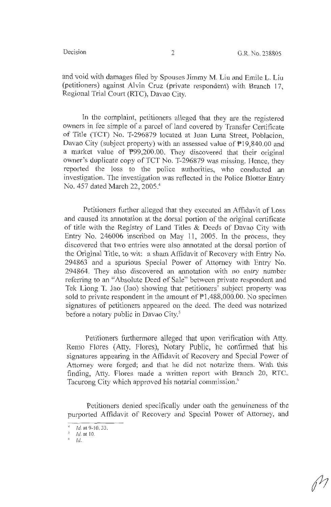and void with damages filed by Spouses Jimmy M. Liu and Emile L. Liu (petitioners) against Alvin Cruz (private respondent) with Branch 17, Regional Trial Court (RTC), Davao City.

In the complaint, petitioners alleged that they are the registered owners in fee simple of a parcel of land covered by Transfer Certificate of Title (TCT) No. T-296879 located at Juan Luna Street, Poblacion, Davao City (subject property) with an assessed value of P19,840.00 and a market value of P99,200.00. They discovered that their original owner's duplicate copy of TCT No. T-296879 was missing. Hence, they reported the loss to the police authorities, who conducted an investigation. The investigation was reflected in the Police Blotter Entry No. 457 dated March 22, 2005. 4

Petitioners further alleged that they executed an Affidavit of Loss and caused its annotation at the dorsal portion of the original certificate of title with the Registry of Land Titles & Deeds of Davao City with Entry No. 246006 inscribed on May 11, 2005. In the process, they discovered that two entries were also annotated at the dorsal portion of the Original Title, to wit: a sham Affidavit of Recovery with Entry No. 294863 and a spurious Special Power of Attorney with Entry No. 294864. They also discovered an annotation with no entry number referring to an "Absolute Deed of Sale" between private respondent and Tek Liong T. Jao (Jao) showing that petitioners' subject property was sold to private respondent in the amount of  $P1,488,000.00$ . No specimen signatures of petitioners appeared on the deed. The deed was notarized before a notary public in Davao City.<sup>5</sup>

Petitioners furthermore alleged that upon verification with Atty. Remo Flores (Atty. Flores), Notary Public, he confirmed that his signatures appearing in the Affidavit of Recovery and Special Power of Attorney were forged; and that he did not notarize them. With this finding, Atty. Flores made a written report with Branch 20, RTC, Tacurong City which approved his notarial commission.<sup>6</sup>

Petitioners denied specifically under oath the genuineness of the purported Affidavit of Recovery and Special Power of Attorney, and

Id. at 9-10, 33.

*Id.* at 10.<br>*Id*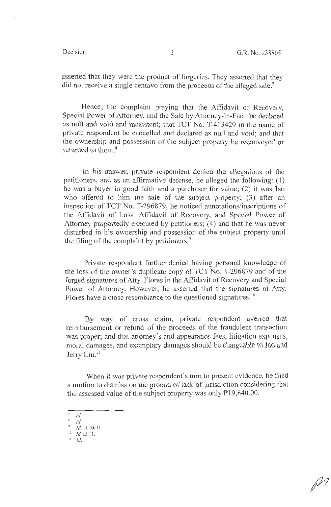asserted that they were the product of forgeries. They asserted that they did not receive a single centavo from the proceeds of the alleged sale. 7

Hence, the complaint praying that the Affidavit of Recovery, Special Power of Attorney, and the Sale by Attorney-in-Fact be declared as null and void and inexistent; that TCT No. T-413429 in the name of private respondent be cancelled and declared as null and void; and that the ownership and possession of the subject property be reconveyed or returned to them.<sup>8</sup>

In his answer, private respondent denied the allegations of the petitioners, and as an affirmative defense, he alleged the following: ( l) he was a buyer in good faith and a purchaser for value; (2) it was Jao who offered to him the sale of the subject property; (3) after an inspection of TCT No. T-296879, he noticed annotations/inscriptions of the Affidavit of Loss, Affidavit of Recovery, and Special Power of Attorney purportedly executed by petitioners; (4) and that he was never disturbed in his ownership and possession of the subject property until the filing of the complaint by petitioners.<sup>9</sup>

Private respondent further denied having personal knowledge of the loss of the owner's duplicate copy of TCT No. T-296879 and of the forged signatures of Atty. Flores in the Affidavit of Recovery and Special Power of Attorney. However, he asserted that the signatures of Atty. Flores have a close resemblance to the questioned signatures.<sup>10</sup>

By way of cross claim, private respondent averred that reimbursement or refund of the proceeds of the fraudulent transaction was proper; and that attorney's and appearance fees, litigation expenses, moral damages, and exemplary damages should be chargeable to Jao and Jerry Liu.<sup>11</sup>

When it was private respondent's turn to present evidence, he filed a motion to dismiss on the ground of lack of jurisdiction considering that the assessed value of the subject property was only  $P19,840.00$ .

- $7$   $1d$ .
- $\delta$  *Id.*

 $^{\text{II}}$  Id.

<sup>&</sup>lt;sup>9</sup> Id. at 10-11.<br><sup>10</sup> Id. at 11.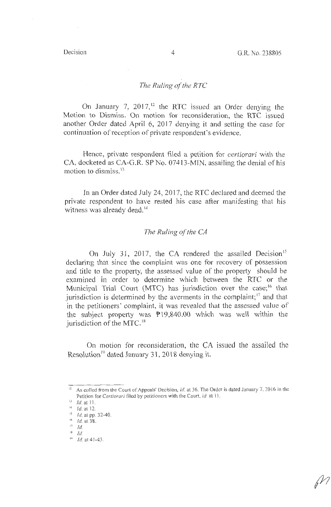## *The Ruling of the RTC*

On January 7,  $2017<sup>12</sup>$  the RTC issued an Order denying the Motion to Dismiss. On motion for reconsideration, the RTC issued another Order dated April 6, 2017 denying it and setting the case for continuation of reception of private respondent's evidence.

Hence, private respondent filed a petition for *certiorari* with the CA, docketed as CA-G.R. SP No. 07413-MIN, assailing the denial of his motion to dismiss.<sup>13</sup>

In an Order dated July 24, 2017, the RTC declared and deemed the private respondent to have rested his case after manifesting that his witness was already dead.<sup>14</sup>

## *The Ruling of the CA*

On July 31, 2017, the CA rendered the assailed Decision<sup>15</sup> declaring that since the complaint was one for recovery of possession and title to the property, the assessed value of the property should be examined in order to determine which between the RTC or the Municipal Trial Court (MTC) has jurisdiction over the case;<sup>16</sup> that jurisdiction is determined by the averments in the complaint; $\frac{17}{2}$  and that in the petitioners' complaint, it was revealed that the assessed value of the subject property was  $P19,840.00$  which was well within the jurisdiction of the MTC.<sup>18</sup>

On motion for reconsideration, the CA issued the assailed the Resolution<sup>19</sup> dated January 31, 2018 denying it.

<sup>&</sup>lt;sup>12</sup> As culled from the Court of Appeals' Decision, *id.* at 36. The Order is dated January 7, 2016 in the Petition for *Certiorari* filed by petitioners with the Court, *id.* at 11. Id. at 11.

 $14$  *Id.* at 12.

<sup>15</sup> Id. at pp. 32-40.

 $16$  *Id.* at 38.

 $\frac{17}{18}$  *Id.* 

 $1<sup>a</sup>$  *Id.* at 41-43.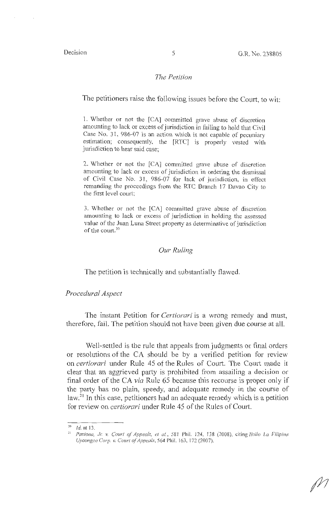#### *The Petition*

The petitioners raise the following issues before the Court, to wit:

1. Whether or not the [CA] committed grave abuse of discretion amounting to lack or excess of jurisdiction in failing to hold that Civil Case No. 31, 986-07 is an action which is not capable of pecuniary estimation; consequently, the [RTC] is properly vested with jurisdiction to hear said case;

2. Whether or not the [CA] committed grave abuse of discretion amounting to lack or excess of jurisdiction in ordering the dismissal of Civil Case No. 31, 986-07 for lack of jurisdiction, in effect remanding the proceedings from the RTC Branch 17 Davao City to the first level court;

3. Whether or not the [CA] committed grave abuse of discretion amounting to lack or excess of jurisdiction in holding the assessed value of the Juan Luna Street property as determinative of jurisdiction of the court.<sup>20</sup>

## *Our Ruling*

The petition is technically and substantially flawed.

### *Procedural Aspect*

The instant Petition for *Certiorari* is a wrong remedy and must, therefore, fail. The petition should not have been given due course at all.

Well-settled is the rule that appeals from judgments or final orders or resolutions of the CA should be by a verified petition for review on *certiorari* under Rule 45 of the Rules of Court. The Court made it clear that an aggrieved party is prohibited from assailing a decision or final order of the CA *via* Rule 65 because this recourse is proper only if the party has no plain, speedy, and adequate remedy in the course of law. $2<sup>1</sup>$  In this case, petitioners had an adequate remedy which is a petition for review on *certiorari* under Rule 45 of the Rules of Court.

 $20$  *Id.* at 13.

<sup>&</sup>lt;sup>21</sup> Pasiona, Jr. v. Court of Appeals, et al., 581 Phil. 124, 138 (2008), citing *Iloilo La Filipina Uycongco Corp. v. Court of Appeals*, 564 Phil. 163, 172 (2007).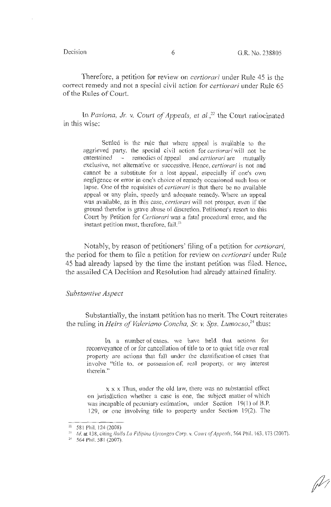fh

Therefore, a petition for review on *certiorari* under Rule 45 is the correct remedy and not a special civil action for *certiorari* under Rule 65 of the Rules of Court.

In *Pasiona, Jr. v. Court of Appeals, et al.*,<sup>22</sup> the Court ratiocinated in this wise:

Settled is the rule that where appeal is available to the aggrieved patty, the special civil action for *certiorari* will not be entertained – remedies of appeal and *certiorari* are mutually exclusive, not alternative or successive. Hence, *certiorari* is not and cannot be a substitute for a lost appeal, especially if one's own negligence or error in one's choice of remedy occasioned such loss or lapse. One of the requisites of *certiorari* is that there be no available appeal or any plain, speedy and adequate remedy. Where an appeal was available, as in this case, *certiorari* will not prosper, even if the ground therefor is grave abuse of discretion. Petitioner's resort to this Comt by Petition for *Certiorari* was a fatal procedural error, and the instant petition must, therefore, fail.<sup>23</sup>

Notably, by reason of petitioners' filing of a petition for *certiorari*, the period for them to file a petition for review on *certiorari* under Rule 45 had already lapsed by the time the instant petition was filed. Hence, the assailed CA Decision and Resolution had already attained finality.

## *Substantive Aspect*

Substantially, the instant petition has no merit. The Court reiterates the ruling in *Heirs of Valeriano Concha, Sr.* v. *Sps. Lumocso, <sup>24</sup>*thus:

In a number of cases, we have held that actions for reconveyance of or for cancellation of title to or to quiet title over real property are actions that fall under the classification of cases that involve "title to, or possession of, real property, or any interest therein."

x x x Thus, under the old law, there was no substantial effect on jurisdiction whether a case is one, the subject matter of which was incapable of pecuniary estimation, under Section 19(1) of B.P. 129, or one involving title to property under Section 19(2). The

<sup>&</sup>lt;sup>22</sup> 581 Phil. 124 (2008)<br><sup>23</sup> *Id.* at 138, citing *Iloilo La Filipina Uycongco Corp. v. Court of Appeals*, 564 Phil. 163, 173 (2007).<br><sup>24</sup> 564 Phil. 581 (2007).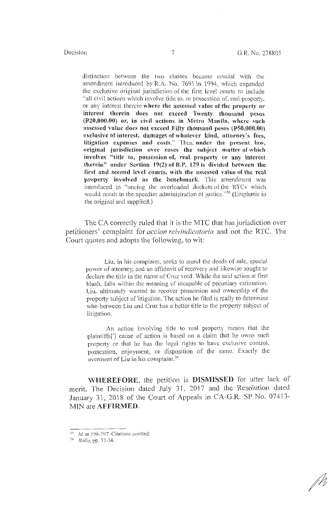distinction between the two classes became crucial with the amendment introduced by R.A. No. 7691 in 1994, which expanded the exclusive original jurisdiction of the first level courts to include "all civil actions which involve title to, or possession of, real property, or any interest therein **where the assessed value of the property or interest therein does not exceed Twenty thousand pesos (.P20,000.00) or, in civil actions in Metro Manila, where such assessed value does not exceed Fifty thousand pesos (PS0,000.00) exclusive of interest, damages of whatever kind, attorney's fees, litigation expenses and costs."** Thus, **under the present law, original jurisdiction over cases the sub\_ject matter of which involves "title to, possession of, real property or any interest therein" under Section 19(2) of B.P. 129 is divided between the first and second level courts, with the assessed value of the real property involved as the benchmark.** This amendment was introduced to "unclog the overloaded dockets of the RTCs which would result in the speedier administration of justice."<sup>25</sup> (Emphasis in the original and supplied.)

The CA correctly ruled that it is the MTC that has jurisdiction over petitioners' complaint for *accion reivindicatoria* and not the RTC. The Court quotes and adopts the following, to wit:

Liu, in his complaint, seeks to annul the deeds of sale, special power of attorney, and an affidavit of recovery and likewise sought to declare the title in the name of Cruz void. While the said action at first blush, falls within the meaning of incapable of pecuniary estimation, Liu, ultimately wanted to recover possession and ownership of the property subject of litigation. The action he filed is really to determine who between Liu and Cruz has a better title to the property subject of litigation.

An action involving title to real property means that the plaintiffs['] cause of action is based on a claim that he owns such property or that he has the legal rights to have exclusive control, possession, enjoyment, or disposition of the same. Exactly the averment of Liu in his complaint.<sup>26</sup>

**WHEREFORE,** the petition is **DISMISSED** for utter lack of merit. The Decision dated July 31, 2017 and the Resolution dated January 31, 2018 of the Court of Appeals in CA-G.R. SP No. 07413- MIN are **AFFIRMED.** 

 $25$  Id. at 596-597. Citations omitted.

<sup>:</sup> <sup>6</sup>*Rollo,* pp. 37-38.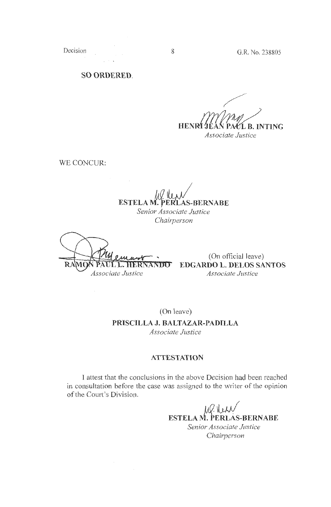**SO ORDERED.** 

**HENRITE** L B. INTING *Associate Justice* 

WE CONCUR:

**ESTELA M. PERLAS-BERNABE** *Senior Associate Justice* 

*Chairperson* 

 $\mathbf{R}$ **L. HDR** Associate Justice

(On official leave) **EDGARDO L. DELOS SANTOS**  *Assodate Justice* 

(On leave)

**PRISCILLA J. BALTAZAR-PADILLA**  *Associate Justice* 

## **ATTESTATION**

I attest that the conclusions in the above Decision had been reached in consultation before the case was assigned to the writer of the opinion of the Court's Division.

> **ESTELA M. PERLAS-BERNABE** *Senior Associate Justice Chairperson*